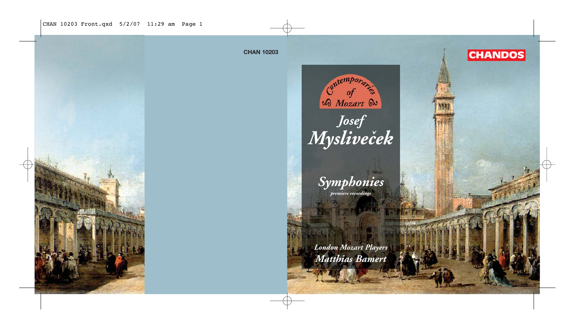CHAN 10203 Front.qxd 5/2/07 11:29 am Page 1

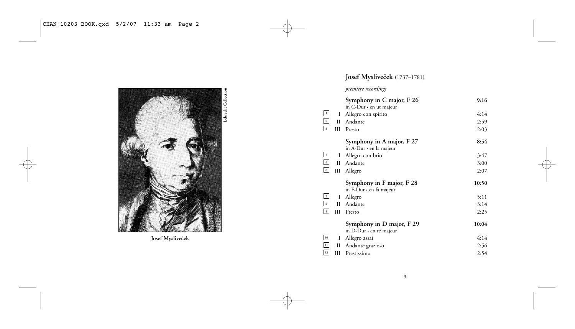

Josef Mysliveček

# Josef Mysliveček (1737–1781)

## *premiere recordings*

|                                                                               |   | Symphony in C major, F 26                            | 9:16  |
|-------------------------------------------------------------------------------|---|------------------------------------------------------|-------|
|                                                                               |   | in C-Dur $\cdot$ en ut majeur                        |       |
|                                                                               | Ι | Allegro con spirito                                  | 4:14  |
| $\begin{array}{c} 1 \\ 2 \\ 3 \end{array}$                                    | П | Andante                                              | 2:59  |
|                                                                               | Ш | Presto                                               | 2:03  |
|                                                                               |   | Symphony in A major, F 27                            | 8:54  |
|                                                                               |   | in A-Dur • en la majeur                              |       |
|                                                                               | Ι | Allegro con brio                                     | 3:47  |
| $\begin{array}{c c}\n4 & 5 \\ \hline\n6 & 6\n\end{array}$                     | П | Andante                                              | 3:00  |
|                                                                               | Ш | Allegro                                              | 2:07  |
|                                                                               |   |                                                      |       |
|                                                                               |   | Symphony in F major, F 28                            | 10:50 |
|                                                                               |   | in F-Dur ∙ en fa majeur                              |       |
|                                                                               | I | Allegro                                              | 5:11  |
|                                                                               | П | Andante                                              | 3:14  |
|                                                                               | Ш | Presto                                               | 2:25  |
|                                                                               |   |                                                      | 10:04 |
|                                                                               |   | Symphony in D major, F 29<br>in D-Dur • en ré majeur |       |
|                                                                               | Ι | Allegro assai                                        | 4:14  |
| $\begin{array}{c} 7 \\ 8 \\ 9 \end{array}$<br>$\frac{10}{11}$ $\frac{11}{12}$ | П | Andante grazioso                                     | 2:56  |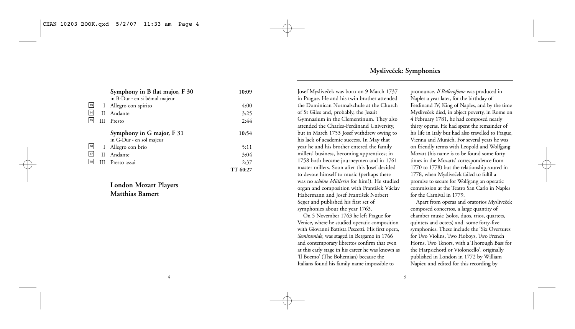|        |     | Symphony in B flat major, F 30                        | 10:09    |
|--------|-----|-------------------------------------------------------|----------|
|        |     | in B-Dur · en si bémol majeur                         |          |
| 13     | Ι.  | Allegro con spirito                                   | 4:00     |
| $14$   | Н   | Andante                                               | 3:25     |
| 15     | IΙI | Presto                                                | 2:44     |
|        |     | Symphony in G major, F 31<br>in G-Dur · en sol majeur | 10:54    |
| $16\,$ | L   | Allegro con brio                                      | 5:11     |
| 17     | Н   | Andante                                               | 3:04     |
| 18     | Ш   | Presto assai                                          | 2:37     |
|        |     |                                                       | TT 60:27 |

## **London Mozart Players Matthias Bamert**

## **Mysliveček: Symphonies**

Josef Mysliveček was born on 9 March 1737 in Prague. He and his twin brother attended the Dominican Normalschule at the Church of St Giles and, probably, the Jesuit Gymnasium in the Clementinum. They also attended the Charles-Ferdinand University, but in March 1753 Josef withdrew owing to his lack of academic success. In May that year he and his brother entered the family millers' business, becoming apprentices; in 1758 both became journeymen and in 1761 master millers. Soon after this Josef decided to devote himself to music (perhaps there was no *schöne Müllerin* for him?). He studied organ and composition with František Václav Habermann and Josef František Norbert Seger and published his first set of symphonies about the year 1763.

On 5 November 1763 he left Prague for Venice, where he studied operatic composition with Giovanni Battista Pescetti. His first opera, *Semiramide*, was staged in Bergamo in 1766 and contemporary librettos confirm that even at this early stage in his career he was known as 'Il Boemo' (The Bohemian) because the Italians found his family name impossible to

pronounce. *Il Bellerofonte* was produced in Naples a year later, for the birthday of Ferdinand IV, King of Naples, and by the time Mysliveček died, in abject poverty, in Rome on 4 February 1781, he had composed nearly thirty operas. He had spent the remainder of his life in Italy but had also travelled to Prague, Vienna and Munich. For several years he was on friendly terms with Leopold and Wolfgang Mozart (his name is to be found some forty times in the Mozarts' correspondence from 1770 to 1778) but the relationship soured in 1778, when Mysliveček failed to fulfil a promise to secure for Wolfgang an operatic commission at the Teatro San Carlo in Naples for the Carnival in 1779.

Apart from operas and oratorios Mysliveček composed concertos, a large quantity of chamber music (solos, duos, trios, quartets, quintets and octets) and some forty-five symphonies. These include the 'Six Overtures for Two Violins, Two Hoboys, Two French Horns, Two Tenors, with a Thorough Bass for the Harpsichord or Violoncello', originally published in London in 1772 by William Napier, and edited for this recording by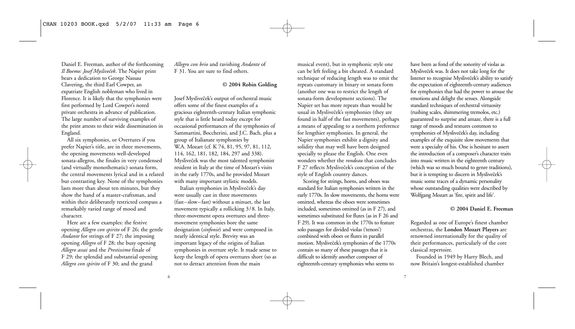Daniel E. Freeman, author of the forthcoming *Il Boemo: Josef Mysliveček*. The Napier print bears a dedication to George Nassau Clavering, the third Earl Cowper, an expatriate English nobleman who lived in Florence. It is likely that the symphonies were first performed by Lord Cowper's noted private orchestra in advance of publication. The large number of surviving examples of the print attests to their wide dissemination in England.

All six symphonies, or Overtures if you prefer Napier's title, are in three movements, the opening movements well-developed sonata-allegros, the finales in very condensed (and virtually monothematic) sonata form, the central movements lyrical and in a related but contrasting key. None of the symphonies lasts more than about ten minutes, but they show the hand of a master-craftsman, and within their deliberately restricted compass a remarkably varied range of mood and character.

Here are a few examples: the festive opening *Allegro con spirito* of F 26; the gentle *Andante* for strings of F 27; the imposing opening *Allegro* of F 28; the busy opening *Allegro assai* and the *Prestissimo* finale of F 29; the splendid and substantial opening *Allegro con spirito* of F 30; and the grand

*Allegro con brio* and ravishing *Andante* of F 31. You are sure to find others.

### **© 2004 Robin Golding**

Josef Mysliveček's output of orchestral music offers some of the finest examples of a gracious eighteenth-century Italian symphonic style that is little heard today except for occasional performances of the symphonies of Sammartini, Boccherini, and J.C. Bach, plus a group of Italianate symphonies by W.A. Mozart (cf. K 74, 81, 95, 97, 81, 112, 114, 162, 181, 182, 184, 297 and 338). Mysliveček was the most talented symphonist resident in Italy at the time of Mozart's visits in the early 1770s, and he provided Mozart with many important stylistic models.

Italian symphonies in Mysliveček's day were usually cast in three movements (fast–slow–fast) without a minuet, the last movement typically a rollicking 3/8. In Italy, three-movement opera overtures and threemovement symphonies bore the same designation (*sinfonie*) and were composed in nearly identical style. Brevity was an important legacy of the origins of Italian symphonies in overture style. It made sense to keep the length of opera overtures short (so as not to detract attention from the main

musical event), but in symphonic style one can be left feeling a bit cheated. A standard technique of reducing length was to omit the repeats customary in binary or sonata form (another one was to restrict the length of sonata-form development sections). The Napier set has more repeats than would be usual in Mysliveček's symphonies (they are found in half of the fast movements), perhaps a means of appealing to a northern preference for lengthier symphonies. In general, the Napier symphonies exhibit a dignity and solidity that may well have been designed specially to please the English. One even wonders whether the *rondeau* that concludes F 27 reflects Mysliveček's conception of the style of English country dances.

Scoring for strings, horns, and oboes was standard for Italian symphonies written in the early 1770s. In slow movements, the horns were omitted, whereas the oboes were sometimes included, sometimes omitted (as in F 27), and sometimes substituted for flutes (as in F 26 and F 29). It was common in the 1770s to feature solo passages for divided violas ('tenors') combined with oboes or flutes in parallel motion. Mysliveček's symphonies of the 1770s contain so many of these passages that it is difficult to identify another composer of eighteenth-century symphonies who seems to

have been as fond of the sonority of violas as Mysliveček was. It does not take long for the listener to recognise Mysliveček's ability to satisfy the expectation of eighteenth-century audiences for symphonies that had the power to arouse the emotions and delight the senses. Alongside standard techniques of orchestral virtuosity (rushing scales, shimmering tremolos, etc.) guaranteed to surprise and amaze, there is a full range of moods and textures common to symphonies of Mysliveček's day, including examples of the exquisite slow movements that were a specialty of his. One is hesitant to assert the introduction of a composer's character traits into music written in the eighteenth century (which was so much bound to genre traditions), but it is tempting to discern in Mysliveček's music some traces of a dynamic personality whose outstanding qualities were described by Wolfgang Mozart as 'fire, spirit and life'.

#### **© 2004 Daniel E. Freeman**

Regarded as one of Europe's finest chamber orchestras, the **London Mozart Players** are renowned internationally for the quality of their performances, particularly of the core classical repertoire.

Founded in 1949 by Harry Blech, and now Britain's longest-established chamber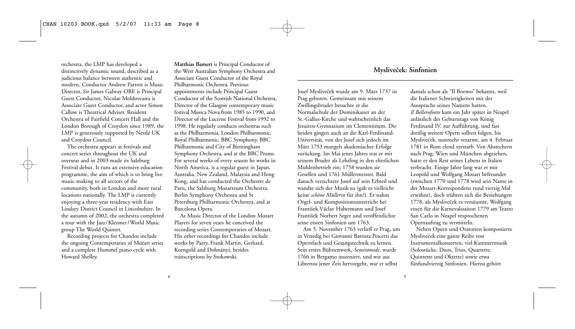orchestra, the LMP has developed a distinctively dynamic sound, described as a judicious balance between authentic and modern. Conductor Andrew Parrott is Music Director, Sir James Galway OBE is Principal Guest Conductor, Nicolae Moldoveanu is Associate Guest Conductor, and actor Simon Callow is Theatrical Adviser. Resident Orchestra of Fairfield Concert Hall and the London Borough of Croydon since 1989, the LMP is generously supported by Nestlé UK and Croydon Council.

The orchestra appears at festivals and concert series throughout the UK and overseas and in 2003 made its Salzburg Festival debut. It runs an extensive education programme, the aim of which is to bring live music-making to all sectors of the community, both in London and more rural locations nationally. The LMP is currently enjoying a three-year residency with East Lindsey District Council in Lincolnshire. In the autumn of 2002, the orchestra completed a tour with the Jazz/Klezmer/World Music group The World Quintet.

Recording projects for Chandos include the ongoing Contemporaries of Mozart series and a complete Hummel piano cycle with Howard Shelley.

**Matthias Bamert** is Principal Conductor of the West Australian Symphony Orchestra and Associate Guest Conductor of the Royal Philharmonic Orchestra. Previous appointments include Principal Guest Conductor of the Scottish National Orchestra, Director of the Glasgow contemporary music festival Musica Nova from 1985 to 1990, and Director of the Lucerne Festival from 1992 to 1998. He regularly conducts orchestras such as the Philharmonia, London Philharmonic, Royal Philharmonic, BBC Symphony, BBC Philharmonic and City of Birmingham Symphony Orchestra, and at the BBC Proms. For several weeks of every season he works in North America, is a regular guest in Japan, Australia, New Zealand, Malaysia and Hong Kong, and has conducted the Orchestre de Paris, the Salzburg Mozarteum Orchestra, Berlin Symphony Orchestra and St Petersburg Philharmonic Orchestra, and at Barcelona Opera.

As Music Director of the London Mozart Players for seven years he conceived the recording series Contemporaries of Mozart. His other recordings for Chandos include works by Parry, Frank Martin, Gerhard, Korngold and Dohnányi, besides transcriptions by Stokowski.

## **Mysliveček: Sinfonien**

Josef Mysliveček wurde am 9. März 1737 in Prag geboren. Gemeinsam mit seinem Zwillingsbruder besuchte er die Normalschule der Dominikaner an der St.-Gallus-Kirche und wahrscheinlich das Jesuiten-Gymnasium im Clementinum. Die beiden gingen auch an die Karl-Ferdinand-Universität, von der Josef sich jedoch im März 1753 mangels akademischer Erfolge zurückzog. Im Mai jenes Jahres trat er mit seinem Bruder als Lehrling in den elterlichen Mühlenbetrieb ein; 1758 wurden sie Gesellen und 1761 Müllermeister. Bald danach verzichtete Josef auf sein Erbteil und wandte sich der Musik zu (gab es vielleicht keine *schöne Müllerin* für ihn?). Er nahm Orgel- und Kompositionsunterricht bei František Václav Habermann und Josef František Norbert Seger und veröffentlichte seine ersten Sinfonien um 1763.

Am 5. November 1763 verließ er Prag, um in Venedig bei Giovanni Battista Pescetti das Opernfach und Gesangstechnik zu lernen. Sein erstes Bühnenwerk, *Semiramide*, wurde 1766 in Bergamo inszeniert, und wie aus Librettos jener Zeit hervorgeht, war er selbst

damals schon als "Il Boemo" bekannt, weil die Italiener Schwierigkeiten mit der Aussprache seines Namens hatten. *Il Bellerofonte* kam ein Jahr später in Neapel anlässlich des Geburtstags von König Ferdinand IV. zur Aufführung, und fast dreißig weitere Opern sollten folgen, bis Mysliveček, nunmehr verarmt, am 4. Februar 1781 in Rom elend verstarb. Von Abstechern nach Prag, Wien und München abgesehen, hatte er den Rest seines Lebens in Italien verbracht. Einige Jahre lang war er mit Leopold und Wolfgang Mozart befreundet (zwischen 1770 und 1778 wird sein Name in der Mozart-Korrespondenz rund vierzig Mal erwähnt), doch trübten sich die Beziehungen 1778, als Mysliveček es versäumte, Wolfgang einen für die Karnevalssaison 1779 am Teatro San Carlo in Neapel vesprochenen Opernauftrag zu vermitteln.

Neben Opern und Oratorien komponierte Mysliveček eine ganze Reihe von Instrumentalkonzerten, viel Kammermusik (Solostücke, Duos, Trios, Quartette, Quintette und Oktette) sowie etwa fünfundvierzig Sinfonien. Hierzu gehört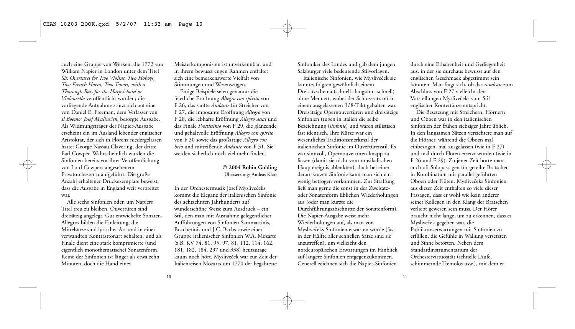auch eine Gruppe von Werken, die 1772 von William Napier in London unter dem Titel *Six Overtures for Two Violins, Two Hoboys, Two French Horns, Two Tenors, with a Thorough Bass for the Harpsichord or Violoncello* veröffentlicht wurden; die vorliegende Aufnahme stützt sich auf eine von Daniel E. Freeman, dem Verfasser von *Il Boemo: Josef Myslivecˇek*, besorgte Ausgabe. Als Widmungsträger der Napier-Ausgabe erscheint ein im Ausland lebender englischer Aristokrat, der sich in Florenz niedergelassen hatte: George Nassau Clavering, der dritte Earl Cowper. Wahrscheinlich wurden die Sinfonien bereits vor ihrer Veröffentlichung von Lord Cowpers angesehenem Privatorchester uraufgeführt. Die große Anzahl erhaltener Druckexemplare beweist, dass die Ausgabe in England weit verbreitet war.

Alle sechs Sinfonien oder, um Napiers Titel treu zu bleiben, Ouvertüren sind dreisätzig angelegt. Gut entwickelte Sonaten-Allegros bilden die Einleitung, die Mittelsätze sind lyrischer Art und in einer verwandten Kontrasttonart gehalten, und als Finale dient eine stark komprimierte (und eigentlich monothematische) Sonatenform. Keine der Sinfonien ist länger als etwa zehn Minuten, doch die Hand eines

Meisterkomponisten ist unverkennbar, und in ihrem bewusst engen Rahmen entfaltet sich eine bemerkenswerte Vielfalt von Stimmungen und Wesenszügen.

Einige Beispiele seien genannt: die feierliche Eröffnung *Allegro con spirito* von F 26, das sanfte *Andante* für Streicher von F 27, die imposante Eröffnung *Allegro* von F 28, die lebhafte Eröffnung *Allegro assai* und das Finale *Prestissimo* von F 29, die glänzende und gehaltvolle Eröffnung *Allegro con spirito* von F 30 sowie das großartige *Allegro con brio* und mitreißende *Andante* von F 31. Sie werden sicherlich noch viel mehr finden.

#### **© 2004 Robin Golding** Übersetzung: Andeas Klatt

In der Orchestermusik Josef Myslivečeks kommt die Eleganz der italienischen Sinfonie des achtzehnten Jahrhunderts auf wunderschöne Weise zum Ausdruck – ein Stil, den man mit Ausnahme gelegentlicher Aufführungen von Sinfonien Sammartinis, Boccherinis und J.C. Bachs sowie einer Gruppe italienischer Sinfonien W.A. Mozarts (z.B. KV 74, 81, 95, 97, 81, 112, 114, 162, 181, 182, 184, 297 und 338) heutzutage kaum noch hört. Mysliveček war zur Zeit der Italienreisen Mozarts um 1770 der begabteste Sinfoniker des Landes und gab dem jungen Salzburger viele bedeutende Stilvorlagen.

Italienische Sinfonien, wie Mysliveček sie kannte, folgten gewöhnlich einem Dreisatzschema (schnell–langsam–schnell) ohne Menuett, wobei der Schlusssatz oft in einem ausgelassenen 3/8-Takt gehalten war. Dreisätzige Opernouvertüren und dreisätzige Sinfonien trugen in Italien die selbe Bezeichnung (*sinfonie*) und waren stilistisch fast identisch. Ihre Kürze war ein wesentliches Traditionsmerkmal der italienischen Sinfonie im Ouvertürenstil. Es war sinnvoll, Opernouvertüren knapp zu fassen (damit sie nicht vom musikalischen Hauptereignis ablenkten), doch bei einer derart kurzen Sinfonie kann man sich ein wenig betrogen vorkommen. Zur Straffung ließ man gerne die sonst in der Zweisatzoder Sonatenform üblichen Wiederholungen aus (oder man kürzte die Durchführungsabschnitte der Sonatenform). Die Napier-Ausgabe weist mehr Wiederholungen auf, als man von Myslivečeks Sinfonien erwarten würde (fast in der Hälfte aller schnellen Sätze sind sie anzutreffen), um vielleicht den nordeuropäischen Erwartungen im Hinblick auf längere Sinfonien entgegenzukommen. Generell zeichnen sich die Napier-Sinfonien

durch eine Erhabenheit und Gediegenheit aus, in der sie durchaus bewusst auf den englischen Geschmack abgestimmt sein könnten. Man fragt sich, ob das *rondeau* zum Abschluss von F 27 vielleicht den Vorstellungen Myslivečeks vom Stil englischer Kontertänze entspricht.

Die Besetzung mit Streichern, Hörnern und Oboen war in den italienischen Sinfonien der frühen siebziger Jahre üblich. In den langsamen Sätzen verzichtete man auf die Hörner, während die Oboen mal einbezogen, mal ausgelassen (wie in F 27) und mal durch Flöten ersetzt wurden (wie in F 26 und F 29). Zu jener Zeit hörte man auch oft Solopassagen für geteilte Bratschen in Kombination mit parallel geführten Oboen oder Flöten. Myslivečeks Sinfonien aus dieser Zeit enthalten so viele dieser Passagen, dass er wohl wie kein anderer seiner Kollegen in den Klang der Bratschen verliebt gewesen sein muss. Der Hörer braucht nicht lange, um zu erkennen, dass es Mysliveček gegeben war, die Publikumserwartungen mit Sinfonien zu erfüllen, die Gefühle in Wallung versetzten und Sinne betörten. Neben dem Standardinstrumentarium der Orchestervirtuosität (schnelle Läufe, schimmernde Tremolos usw.), mit dem er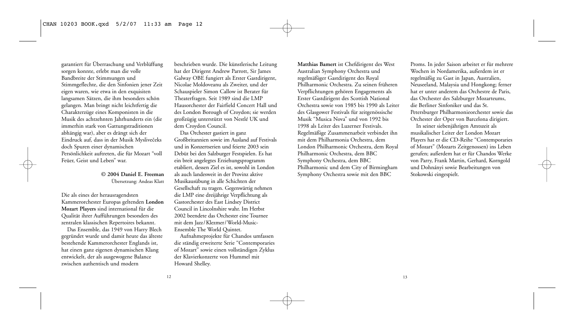garantiert für Überraschung und Verblüffung sorgen konnte, erlebt man die volle Bandbreite der Stimmungen und Stimmgeflechte, die den Sinfonien jener Zeit eigen waren, wie etwa in den exquisiten langsamen Sätzen, die ihm besonders schön gelangen. Man bringt nicht leichtfertig die Charakterzüge eines Komponisten in die Musik des achtzehnten Jahrhunderts ein (die immerhin stark von Gattungstraditionen abhängig war), aber es drängt sich der Eindruck auf, dass in der Musik Myslivečeks doch Spuren einer dynamischen Persönlichkeit auftreten, die für Mozart "voll Feüer, Geist und Leben" war.

> **© 2004 Daniel E. Freeman** Übersetzung: Andeas Klatt

Die als eines der herausragendsten Kammerorchester Europas geltenden **London Mozart Players** sind international für die Qualität ihrer Aufführungen besonders des zentralen klassischen Repertoires bekannt.

Das Ensemble, das 1949 von Harry Blech gegründet wurde und damit heute das älteste bestehende Kammerorchester Englands ist, hat einen ganz eigenen dynamischen Klang entwickelt, der als ausgewogene Balance zwischen authentisch und modern

beschrieben wurde. Die künstlerische Leitung hat der Dirigent Andrew Parrott, Sir James Galway OBE fungiert als Erster Gastdirigent, Nicolae Moldoveanu als Zweiter, und der Schauspieler Simon Callow ist Berater für Theaterfragen. Seit 1989 sind die LMP Hausorchester der Fairfield Concert Hall und des London Borough of Croydon; sie werden großzügig unterstützt von Nestlé UK und dem Croydon Council.

Das Orchester gastiert in ganz Großbritannien sowie im Ausland auf Festivals und in Konzertserien und feierte 2003 sein Debüt bei den Salzburger Festspielen. Es hat ein breit angelegtes Erziehungsprogramm etabliert, dessen Ziel es ist, sowohl in London als auch landesweit in der Provinz aktive Musikausübung in alle Schichten der Gesellschaft zu tragen. Gegenwärtig nehmen die LMP eine dreijährige Verpflichtung als Gastorchester des East Lindsey District Council in Lincolnshire wahr. Im Herbst 2002 beendete das Orchester eine Tournee mit dem Jazz/Klezmer/World-Music-Ensemble The World Quintet.

Aufnahmeprojekte für Chandos umfassen die ständig erweiterte Serie "Contemporaries of Mozart" sowie einen vollständigen Zyklus der Klavierkonzerte von Hummel mit Howard Shelley.

**Matthias Bamert** ist Chefdirigent des West Australian Symphony Orchestra und regelmäßiger Gastdirigent des Royal Philharmonic Orchestra. Zu seinen früheren Verpflichtungen gehören Engagements als Erster Gastdirigent des Scottish National Orchestra sowie von 1985 bis 1990 als Leiter des Glasgower Festivals für zeitgenössische Musik "Musica Nova" und von 1992 bis 1998 als Leiter des Luzerner Festivals. Regelmäßige Zusammenarbeit verbindet ihn mit dem Philharmonia Orchestra, dem London Philharmonic Orchestra, dem Royal Philharmonic Orchestra, dem BBC Symphony Orchestra, dem BBC Philharmonic und dem City of Birmingham Symphony Orchestra sowie mit den BBC

Proms. In jeder Saison arbeitet er für mehrere Wochen in Nordamerika, außerdem ist er regelmäßig zu Gast in Japan, Australien, Neuseeland, Malaysia und Hongkong; ferner hat er unter anderem das Orchestre de Paris, das Orchester des Salzburger Mozarteums, die Berliner Sinfoniker und das St. Petersburger Philharmonieorchester sowie das Orchester der Oper von Barcelona dirigiert.

In seiner siebenjährigen Amtszeit als musikalischer Leiter der London Mozart Players hat er die CD-Reihe "Contemporaries of Mozart" (Mozarts Zeitgenossen) ins Leben gerufen; außerdem hat er für Chandos Werke von Parry, Frank Martin, Gerhard, Korngold und Dohnányi sowie Bearbeitungen von Stokowski eingespielt.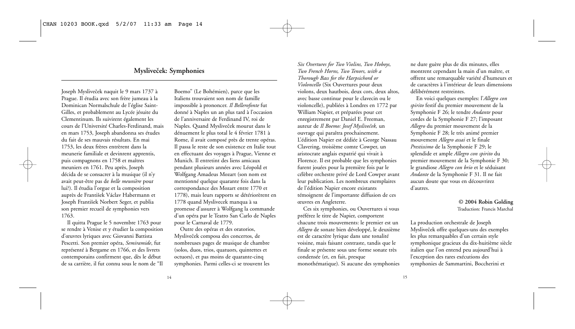## **Mysliveček: Symphonies**

Joseph Mysliveček naquit le 9 mars 1737 à Prague. Il étudia avec son frère jumeau à la Dominican Normalschule de l'église Saint-Gilles, et probablement au Lycée jésuite du Clementinum. Ils suivirent également les cours de l'Université Charles-Ferdinand, mais en mars 1753, Joseph abandonna ses études du fait de ses mauvais résultats. En mai 1753, les deux frères entrèrent dans la meunerie familiale et devinrent apprentis, puis compagnons en 1758 et maîtres meuniers en 1761. Peu après, Joseph décida de se consacrer à la musique (il n'y avait peut-être pas de *belle meunière* pour lui?). Il étudia l'orgue et la composition auprès de František Václav Habermann et Joseph František Norbert Seger, et publia son premier recueil de symphonies vers 1763.

Il quitta Prague le 5 novembre 1763 pour se rendre à Venise et y étudier la composition d'œuvres lyriques avec Giovanni Battista Pescetti. Son premier opéra, *Semiramide*, fut représenté à Bergame en 1766, et des livrets contemporains confirment que, dès le début de sa carrière, il fut connu sous le nom de "Il

Boemo" (Le Bohémien), parce que les Italiens trouvaient son nom de famille impossible à prononcer. *Il Bellerofonte* fut donné à Naples un an plus tard à l'occasion de l'anniversaire de Ferdinand IV, roi de Naples. Quand Mysliveček mourut dans le dénuement le plus total le 4 février 1781 à Rome, il avait composé près de trente opéras. Il passa le reste de son existence en Italie tout en effectuant des voyages à Prague, Vienne et Munich. Il entretint des liens amicaux pendant plusieurs années avec Léopold et Wolfgang Amadeus Mozart (son nom est mentionné quelque quarante fois dans la correspondance des Mozart entre 1770 et 1778), mais leurs rapports se détériorèrent en 1778 quand Myslivecek manqua à sa promesse d'assurer à Wolfgang la commande d'un opéra par le Teatro San Carlo de Naples pour le Carnaval de 1779.

Outre des opéras et des oratorios, Mysliveček composa des concertos, de nombreuses pages de musique de chambre (solos, duos, trios, quatuors, quintettes et octuors), et pas moins de quarante-cinq symphonies. Parmi celles-ci se trouvent les *Six Overtures for Two Violins, Two Hoboys, Two French Horns, Two Tenors, with a Thorough Bass for the Harpsichord or Violoncello* (Six Ouvertures pour deux violons, deux hautbois, deux cors, deux altos, avec basse continue pour le clavecin ou le violoncelle), publiées à Londres en 1772 par William Napier, et préparées pour cet enregistrement par Daniel E. Freeman, auteur de *Il Boemo: Josef Mysliveček*, un ouvrage qui paraîtra prochainement. L'édition Napier est dédiée à George Nassau Clavering, troisième comte Cowper, un aristocrate anglais expatrié qui vivait à Florence. Il est probable que les symphonies furent jouées pour la première fois par le célèbre orchestre privé de Lord Cowper avant leur publication. Les nombreux exemplaires de l'édition Napier encore existants témoignent de l'importante diffusion de ces œuvres en Angleterre.

Ces six symphonies, ou Ouvertures si vous préférez le titre de Napier, comportent chacune trois mouvements: le premier est un *Allegro* de sonate bien développé, le deuxième est de caractère lyrique dans une tonalité voisine, mais faisant contraste, tandis que le finale se présente sous une forme sonate très condensée (et, en fait, presque monothématique). Si aucune des symphonies ne dure guère plus de dix minutes, elles montrent cependant la main d'un maître, et offrent une remarquable variété d'humeurs et de caractères à l'intérieur de leurs dimensions délibérément restreintes.

En voici quelques exemples: l'*Allegro con spirito* festif du premier mouvement de la Symphonie F 26; le tendre *Andante* pour cordes de la Symphonie F 27; l'imposant *Allegro* du premier mouvement de la Symphonie F 28; le très animé premier mouvement *Allegro assai* et le finale *Prestissimo* de la Symphonie F 29; le splendide et ample *Allegro con spirito* du premier mouvement de la Symphonie F 30; le grandiose *Allegro con brio* et le séduisant *Andante* de la Symphonie F 31. Il ne fait aucun doute que vous en découvrirez d'autres.

#### **© 2004 Robin Golding** Traduction: Francis Marchal

La production orchestrale de Joseph Mysliveček offre quelques-uns des exemples les plus remarquables d'un certain style symphonique gracieux du dix-huitième siècle italien que l'on entend peu aujourd'hui à l'exception des rares exécutions des symphonies de Sammartini, Boccherini et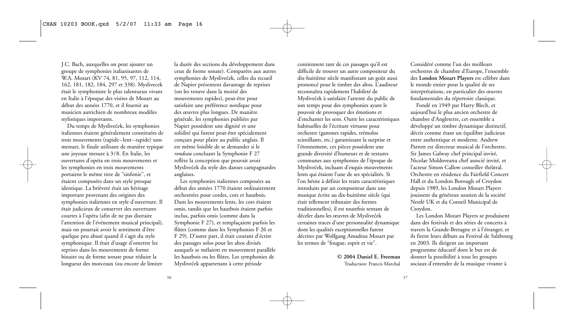J.C. Bach, auxquelles on peut ajouter un groupe de symphonies italianisantes de W.A. Mozart (KV 74, 81, 95, 97, 112, 114, 162, 181, 182, 184, 297 et 338). Myslivecek était le symphoniste le plus talentueux vivant en Italie à l'époque des visites de Mozart au début des années 1770, et il fournit au musicien autrichien de nombreux modèles stylistiques importants.

Du temps de Mysliveček, les symphonies italiennes étaient généralement constituées de trois mouvements (rapide–lent–rapide) sans menuet, le finale utilisant de manière typique une joyeuse mesure à 3/8. En Italie, les ouvertures d'opéra en trois mouvements et les symphonies en trois mouvements portaient le même titre de "sinfonie", et étaient composées dans un style presque identique. La brièveté était un héritage important provenant des origines des symphonies italiennes en style d'ouverture. Il était judicieux de conserver des ouvertures courtes à l'opéra (afin de ne pas distraire l'attention de l'événement musical principal), mais on pourrait avoir le sentiment d'être quelque peu abusé quand il s'agit du style symphonique. Il était d'usage d'omettre les reprises dans les mouvements de forme binaire ou de forme sonate pour réduire la longueur des morceaux (ou encore de limiter

la durée des sections du développement dans ceux de forme sonate). Comparées aux autres symphonies de Mysliveček, celles du recueil de Napier présentent davantage de reprises (on les trouve dans la moitié des mouvements rapides), peut-être pour satisfaire une préférence nordique pour des œuvres plus longues. De manière générale, les symphonies publiées par Napier possèdent une dignité et une solidité qui furent peut-être spécialement conçues pour plaire au public anglais. Il est même loisible de se demander si le *rondeau* concluant la Symphonie F 27 reflète la conception que pouvait avoir Mysliveček du style des danses campagnardes anglaises.

Les symphonies italiennes composées au début des années 1770 étaient ordinairement orchestrées pour cordes, cors et hautbois. Dans les mouvements lents, les cors étaient omis, tandis que les hautbois étaient parfois inclus, parfois omis (comme dans la Symphonie F 27), et remplaçaient parfois les flûtes (comme dans les Symphonies F 26 et F 29). D'autre part, il était courant d'écrire des passages solos pour les altos divisés auxquels se mêlaient en mouvement parallèle les hautbois ou les flûtes. Les symphonies de Mysliveček appartenant à cette période

contiennent tant de ces passages qu'il est difficile de trouver un autre compositeur du dix-huitième siècle manifestant un goût aussi prononcé pour le timbre des altos. L'auditeur reconnaîtra rapidement l'habileté de Mysliveček à satisfaire l'attente du public de son temps pour des symphonies ayant le pouvoir de provoquer des émotions et d'enchanter les sens. Outre les caractéristiques habituelles de l'écriture virtuose pour orchestre (gammes rapides, trémolos scintillants, etc.) garantissant la surprise et l'étonnement, ces pièces possèdent une grande diversité d'humeurs et de textures communes aux symphonies de l'époque de Mysliveček, incluant d'exquis mouvements lents qui étaient l'une de ses spécialités. Si l'on hésite à définir les traits caractéristiques introduits par un compositeur dans une musique écrite au dix-huitième siècle (qui était tellement tributaire des formes traditionnelles), il est toutefois tentant de déceler dans les œuvres de Mysliveček certaines traces d'une personnalité dynamique dont les qualités exceptionnelles furent décrites par Wolfgang Amadeus Mozart par les termes de "fougue, esprit et vie".

#### **© 2004 Daniel E. Freeman** Traduction: Francis Marchal

Considéré comme l'un des meilleurs orchestres de chambre d'Europe, l'ensemble des **London Mozart Players** est célèbre dans le monde entier pour la qualité de ses interprétations, en particulier des œuvres fondamentales du répertoire classique.

Fondé en 1949 par Harry Blech, et aujourd'hui le plus ancien orchestre de chambre d'Angleterre, cet ensemble a développé un timbre dynamique distinctif, décrit comme étant un équilibre judicieux entre authentique et moderne. Andrew Parrott est directeur musical de l'orchestre, Sir James Galway chef principal invité, Nicolae Moldoveanu chef associé invité, et l'acteur Simon Callow conseiller théâtral. Orchestre en résidence du Fairfield Concert Hall et du London Borough of Croydon depuis 1989, les London Mozart Players jouissent du généreux soutien de la société Nestlé UK et du Conseil Municipal de Croydon.

Les London Mozart Players se produisent dans des festivals et des séries de concerts à travers la Grande-Bretagne et à l'étranger, et ils firent leurs débuts au Festival de Salzbourg en 2003. Ils dirigent un important programme éducatif dont le but est de donner la possibilité à tous les groupes sociaux d'entendre de la musique vivante à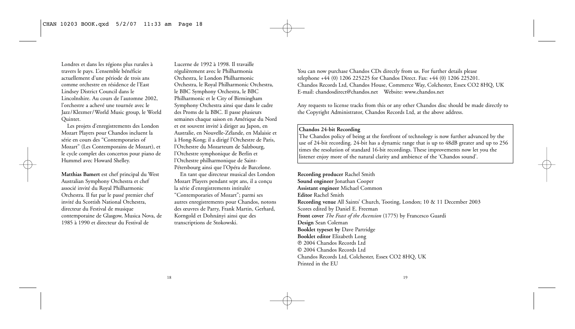Londres et dans les régions plus rurales à travers le pays. L'ensemble bénéficie actuellement d'une période de trois ans comme orchestre en résidence de l'East Lindsey District Council dans le Lincolnshire. Au cours de l'automne 2002, l'orchestre a achevé une tournée avec le Jazz/Klezmer/World Music group, le World Quintet.

Les projets d'enregistrements des London Mozart Players pour Chandos incluent la série en cours des "Contemporaries of Mozart" (Les Contemporains de Mozart), et le cycle complet des concertos pour piano de Hummel avec Howard Shelley.

**Matthias Bamert** est chef principal du West Australian Symphony Orchestra et chef associé invité du Royal Philharmonic Orchestra. Il fut par le passé premier chef invité du Scottish National Orchestra, directeur du Festival de musique contemporaine de Glasgow, Musica Nova, de 1985 à 1990 et directeur du Festival de

Lucerne de 1992 à 1998. Il travaille régulièrement avec le Philharmonia Orchestra, le London Philharmonic Orchestra, le Royal Philharmonic Orchestra, le BBC Symphony Orchestra, le BBC Philharmonic et le City of Birmingham Symphony Orchestra ainsi que dans le cadre des Proms de la BBC. Il passe plusieurs semaines chaque saison en Amérique du Nord et est souvent invité à diriger au Japon, en Australie, en Nouvelle-Zélande, en Malaisie et à Hong-Kong; il a dirigé l'Orchestre de Paris, l'Orchestre du Mozarteum de Salzbourg, l'Orchestre symphonique de Berlin et l'Orchestre philharmonique de Saint-Pétersbourg ainsi que l'Opéra de Barcelone.

En tant que directeur musical des London Mozart Players pendant sept ans, il a conçu la série d'enregistrements intitulée "Contemporaries of Mozart"; parmi ses autres enregistrements pour Chandos, notons des œuvres de Parry, Frank Martin, Gerhard, Korngold et Dohnányi ainsi que des transcriptions de Stokowski.

You can now purchase Chandos CDs directly from us. For further details please telephone +44 (0) 1206 225225 for Chandos Direct. Fax: +44 (0) 1206 225201. Chandos Records Ltd, Chandos House, Commerce Way, Colchester, Essex CO2 8HQ, UK E-mail: chandosdirect@chandos.net Website: www.chandos.net

Any requests to license tracks from this or any other Chandos disc should be made directly to the Copyright Administrator, Chandos Records Ltd, at the above address.

### **Chandos 24-bit Recording**

The Chandos policy of being at the forefront of technology is now further advanced by the use of 24-bit recording. 24-bit has a dynamic range that is up to 48dB greater and up to 256 times the resolution of standard 16-bit recordings. These improvements now let you the listener enjoy more of the natural clarity and ambience of the 'Chandos sound'.

**Recording producer** Rachel Smith **Sound engineer** Jonathan Cooper **Assistant engineer** Michael Common **Editor** Rachel Smith **Recording venue** All Saints' Church, Tooting, London; 10 & 11 December 2003 Scores edited by Daniel E. Freeman **Front cover** *The Feast of the Ascension* (1775) by Francesco Guardi **Design** Sean Coleman **Booklet typeset by** Dave Partridge **Booklet editor** Elizabeth Long P 2004 Chandos Records Ltd C 2004 Chandos Records Ltd Chandos Records Ltd, Colchester, Essex CO2 8HQ, UK Printed in the EU